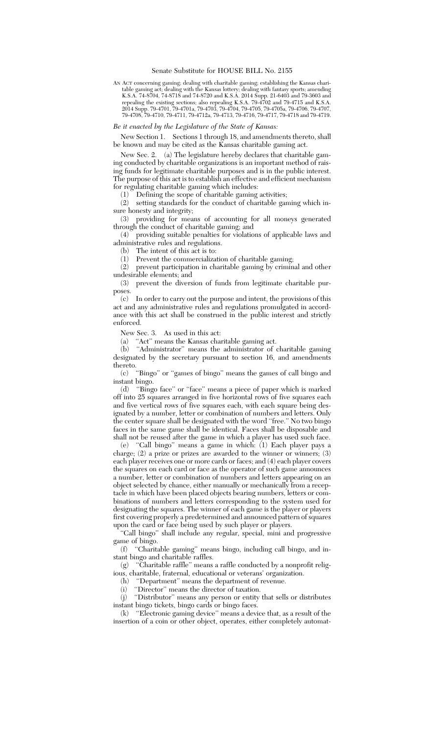## Senate Substitute for HOUSE BILL No. 2155

AN ACT concerning gaming; dealing with charitable gaming; establishing the Kansas charitable gaming act; dealing with the Kansas lottery; dealing with fantasy sports; amending K.S.A. 74-8704, 74-8718 and 74-8720 and K.S.A. 2014 Supp. 21-6403 and 79-3603 and repealing the existing sections; also repealing K.S.A. 79-4702 and 79-4715 and K.S.A. 2014 Supp. 79-4701, 79-4701a, 79-4703, 79-4704, 79-4705, 79-4705a, 79-4706, 79-4707, 79-4708, 79-4710, 79-4711, 79-4712a, 79-4713, 79-4716, 79-4717, 79-4718 and 79-4719.

## *Be it enacted by the Legislature of the State of Kansas:*

New Section 1. Sections 1 through 18, and amendments thereto, shall be known and may be cited as the Kansas charitable gaming act.

New Sec. 2. (a) The legislature hereby declares that charitable gaming conducted by charitable organizations is an important method of raising funds for legitimate charitable purposes and is in the public interest. The purpose of this act is to establish an effective and efficient mechanism for regulating charitable gaming which includes:

(1) Defining the scope of charitable gaming activities;

(2) setting standards for the conduct of charitable gaming which insure honesty and integrity;

(3) providing for means of accounting for all moneys generated through the conduct of charitable gaming; and

(4) providing suitable penalties for violations of applicable laws and administrative rules and regulations.

(b) The intent of this act is to:

(1) Prevent the commercialization of charitable gaming;

(2) prevent participation in charitable gaming by criminal and other undesirable elements; and

(3) prevent the diversion of funds from legitimate charitable purposes.

(c) In order to carry out the purpose and intent, the provisions of this act and any administrative rules and regulations promulgated in accordance with this act shall be construed in the public interest and strictly enforced.

New Sec. 3. As used in this act:

(a) ''Act'' means the Kansas charitable gaming act.

(b) ''Administrator'' means the administrator of charitable gaming designated by the secretary pursuant to section 16, and amendments thereto.

(c) ''Bingo'' or ''games of bingo'' means the games of call bingo and instant bingo.

(d) ''Bingo face'' or ''face'' means a piece of paper which is marked off into 25 squares arranged in five horizontal rows of five squares each and five vertical rows of five squares each, with each square being designated by a number, letter or combination of numbers and letters. Only the center square shall be designated with the word ''free.'' No two bingo faces in the same game shall be identical. Faces shall be disposable and shall not be reused after the game in which a player has used such face.

(e) ''Call bingo'' means a game in which: (1) Each player pays a charge; (2) a prize or prizes are awarded to the winner or winners; (3) each player receives one or more cards or faces; and (4) each player covers the squares on each card or face as the operator of such game announces a number, letter or combination of numbers and letters appearing on an object selected by chance, either manually or mechanically from a receptacle in which have been placed objects bearing numbers, letters or combinations of numbers and letters corresponding to the system used for designating the squares. The winner of each game is the player or players first covering properly a predetermined and announced pattern of squares upon the card or face being used by such player or players.

'Call bingo'' shall include any regular, special, mini and progressive game of bingo.

(f) ''Charitable gaming'' means bingo, including call bingo, and instant bingo and charitable raffles.

(g) ''Charitable raffle'' means a raffle conducted by a nonprofit religious, charitable, fraternal, educational or veterans' organization.

(h) ''Department'' means the department of revenue.

(i) "Director" means the director of taxation.

(j) ''Distributor'' means any person or entity that sells or distributes instant bingo tickets, bingo cards or bingo faces.

(k) ''Electronic gaming device'' means a device that, as a result of the insertion of a coin or other object, operates, either completely automat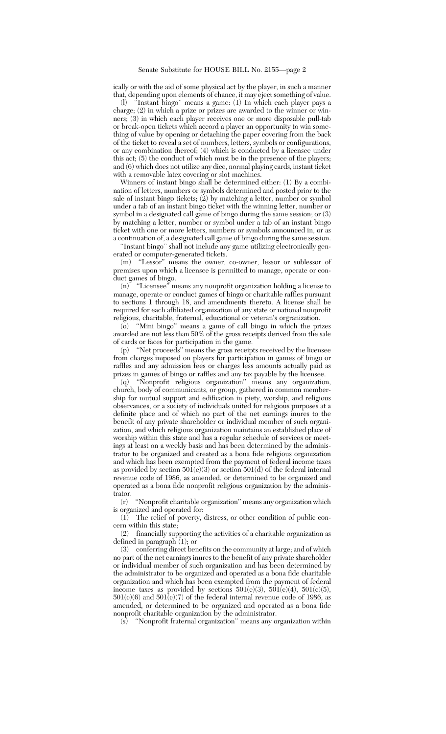ically or with the aid of some physical act by the player, in such a manner that, depending upon elements of chance, it may eject something of value.

(l) ''Instant bingo'' means a game: (1) In which each player pays a charge; (2) in which a prize or prizes are awarded to the winner or winners; (3) in which each player receives one or more disposable pull-tab or break-open tickets which accord a player an opportunity to win something of value by opening or detaching the paper covering from the back of the ticket to reveal a set of numbers, letters, symbols or configurations, or any combination thereof; (4) which is conducted by a licensee under this act; (5) the conduct of which must be in the presence of the players; and (6) which does not utilize any dice, normal playing cards, instant ticket with a removable latex covering or slot machines.

Winners of instant bingo shall be determined either: (1) By a combination of letters, numbers or symbols determined and posted prior to the sale of instant bingo tickets; (2) by matching a letter, number or symbol under a tab of an instant bingo ticket with the winning letter, number or symbol in a designated call game of bingo during the same session; or (3) by matching a letter, number or symbol under a tab of an instant bingo ticket with one or more letters, numbers or symbols announced in, or as a continuation of, a designated call game of bingo during the same session.

''Instant bingo'' shall not include any game utilizing electronically generated or computer-generated tickets.

(m) ''Lessor'' means the owner, co-owner, lessor or sublessor of premises upon which a licensee is permitted to manage, operate or conduct games of bingo.

(n) ''Licensee'' means any nonprofit organization holding a license to manage, operate or conduct games of bingo or charitable raffles pursuant to sections 1 through 18, and amendments thereto. A license shall be required for each affiliated organization of any state or national nonprofit religious, charitable, fraternal, educational or veteran's orgranization.

(o) ''Mini bingo'' means a game of call bingo in which the prizes awarded are not less than 50% of the gross receipts derived from the sale of cards or faces for participation in the game.

(p) ''Net proceeds'' means the gross receipts received by the licensee from charges imposed on players for participation in games of bingo or raffles and any admission fees or charges less amounts actually paid as prizes in games of bingo or raffles and any tax payable by the licensee.

(q) ''Nonprofit religious organization'' means any organization, church, body of communicants, or group, gathered in common membership for mutual support and edification in piety, worship, and religious observances, or a society of individuals united for religious purposes at a definite place and of which no part of the net earnings inures to the benefit of any private shareholder or individual member of such organization, and which religious organization maintains an established place of worship within this state and has a regular schedule of services or meetings at least on a weekly basis and has been determined by the administrator to be organized and created as a bona fide religious organization and which has been exempted from the payment of federal income taxes as provided by section  $50\overline{1}(c)(3)$  or section  $501(d)$  of the federal internal revenue code of 1986, as amended, or determined to be organized and operated as a bona fide nonprofit religious organization by the administrator.

(r) ''Nonprofit charitable organization'' means any organization which is organized and operated for:

(1) The relief of poverty, distress, or other condition of public concern within this state;

(2) financially supporting the activities of a charitable organization as defined in paragraph (1); or

(3) conferring direct benefits on the community at large; and of which no part of the net earnings inures to the benefit of any private shareholder or individual member of such organization and has been determined by the administrator to be organized and operated as a bona fide charitable organization and which has been exempted from the payment of federal income taxes as provided by sections  $501(c)(3)$ ,  $501(c)(4)$ ,  $501(c)(5)$ ,  $501(c)(6)$  and  $501(c)(7)$  of the federal internal revenue code of 1986, as amended, or determined to be organized and operated as a bona fide nonprofit charitable organization by the administrator.

(s) ''Nonprofit fraternal organization'' means any organization within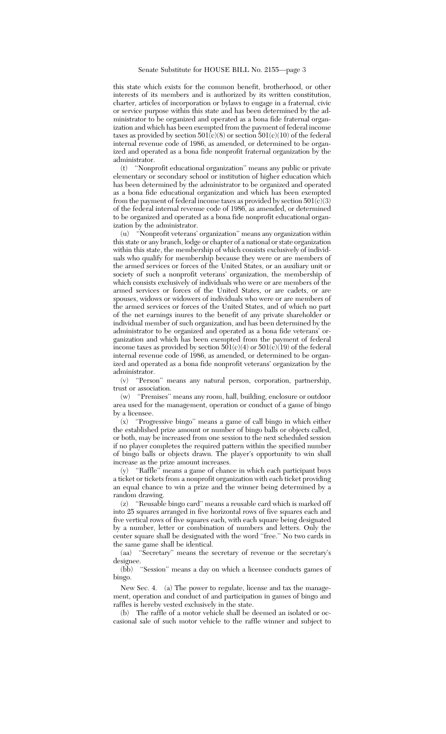this state which exists for the common benefit, brotherhood, or other interests of its members and is authorized by its written constitution, charter, articles of incorporation or bylaws to engage in a fraternal, civic or service purpose within this state and has been determined by the administrator to be organized and operated as a bona fide fraternal organization and which has been exempted from the payment of federal income taxes as provided by section  $501(c)(8)$  or section  $501(c)(10)$  of the federal internal revenue code of 1986, as amended, or determined to be organized and operated as a bona fide nonprofit fraternal organization by the administrator.

(t) ''Nonprofit educational organization'' means any public or private elementary or secondary school or institution of higher education which has been determined by the administrator to be organized and operated as a bona fide educational organization and which has been exempted from the payment of federal income taxes as provided by section  $501(\tilde{c})(3)$ of the federal internal revenue code of 1986, as amended, or determined to be organized and operated as a bona fide nonprofit educational organization by the administrator.

(u) ''Nonprofit veterans' organization'' means any organization within this state or any branch, lodge or chapter of a national or state organization within this state, the membership of which consists exclusively of individuals who qualify for membership because they were or are members of the armed services or forces of the United States, or an auxiliary unit or society of such a nonprofit veterans' organization, the membership of which consists exclusively of individuals who were or are members of the armed services or forces of the United States, or are cadets, or are spouses, widows or widowers of individuals who were or are members of the armed services or forces of the United States, and of which no part of the net earnings inures to the benefit of any private shareholder or individual member of such organization, and has been determined by the administrator to be organized and operated as a bona fide veterans' organization and which has been exempted from the payment of federal income taxes as provided by section  $501(c)(4)$  or  $501(c)(19)$  of the federal internal revenue code of 1986, as amended, or determined to be organized and operated as a bona fide nonprofit veterans' organization by the administrator.

(v) ''Person'' means any natural person, corporation, partnership, trust or association.

(w) ''Premises'' means any room, hall, building, enclosure or outdoor area used for the management, operation or conduct of a game of bingo by a licensee.

(x) ''Progressive bingo'' means a game of call bingo in which either the established prize amount or number of bingo balls or objects called, or both, may be increased from one session to the next scheduled session if no player completes the required pattern within the specified number of bingo balls or objects drawn. The player's opportunity to win shall increase as the prize amount increases.

(y) ''Raffle'' means a game of chance in which each participant buys a ticket or tickets from a nonprofit organization with each ticket providing an equal chance to win a prize and the winner being determined by a random drawing.

(z) ''Reusable bingo card'' means a reusable card which is marked off into 25 squares arranged in five horizontal rows of five squares each and five vertical rows of five squares each, with each square being designated by a number, letter or combination of numbers and letters. Only the center square shall be designated with the word ''free.'' No two cards in the same game shall be identical.

(aa) ''Secretary'' means the secretary of revenue or the secretary's designee.

(bb) ''Session'' means a day on which a licensee conducts games of bingo.

New Sec. 4. (a) The power to regulate, license and tax the management, operation and conduct of and participation in games of bingo and raffles is hereby vested exclusively in the state.

(b) The raffle of a motor vehicle shall be deemed an isolated or occasional sale of such motor vehicle to the raffle winner and subject to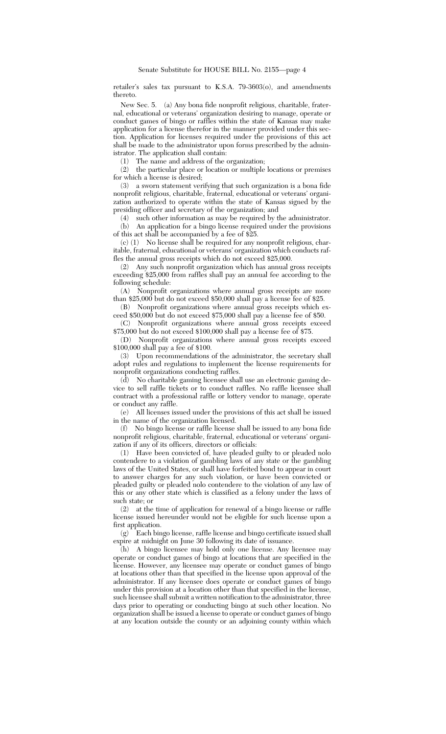retailer's sales tax pursuant to K.S.A. 79-3603(o), and amendments thereto.

New Sec. 5. (a) Any bona fide nonprofit religious, charitable, fraternal, educational or veterans' organization desiring to manage, operate or conduct games of bingo or raffles within the state of Kansas may make application for a license therefor in the manner provided under this section. Application for licenses required under the provisions of this act shall be made to the administrator upon forms prescribed by the administrator. The application shall contain:

(1) The name and address of the organization;

(2) the particular place or location or multiple locations or premises for which a license is desired;

(3) a sworn statement verifying that such organization is a bona fide nonprofit religious, charitable, fraternal, educational or veterans' organization authorized to operate within the state of Kansas signed by the presiding officer and secretary of the organization; and

(4) such other information as may be required by the administrator.

(b) An application for a bingo license required under the provisions of this act shall be accompanied by a fee of \$25.

(c) (1) No license shall be required for any nonprofit religious, charitable, fraternal, educational or veterans' organization which conducts raffles the annual gross receipts which do not exceed \$25,000.

(2) Any such nonprofit organization which has annual gross receipts exceeding \$25,000 from raffles shall pay an annual fee according to the following schedule:

(A) Nonprofit organizations where annual gross receipts are more than \$25,000 but do not exceed \$50,000 shall pay a license fee of \$25.

(B) Nonprofit organizations where annual gross receipts which exceed \$50,000 but do not exceed \$75,000 shall pay a license fee of \$50.

(C) Nonprofit organizations where annual gross receipts exceed \$75,000 but do not exceed \$100,000 shall pay a license fee of \$75.

(D) Nonprofit organizations where annual gross receipts exceed \$100,000 shall pay a fee of \$100.

(3) Upon recommendations of the administrator, the secretary shall adopt rules and regulations to implement the license requirements for nonprofit organizations conducting raffles.

(d) No charitable gaming licensee shall use an electronic gaming device to sell raffle tickets or to conduct raffles. No raffle licensee shall contract with a professional raffle or lottery vendor to manage, operate or conduct any raffle.

(e) All licenses issued under the provisions of this act shall be issued in the name of the organization licensed.

(f) No bingo license or raffle license shall be issued to any bona fide nonprofit religious, charitable, fraternal, educational or veterans' organization if any of its officers, directors or officials:

(1) Have been convicted of, have pleaded guilty to or pleaded nolo contendere to a violation of gambling laws of any state or the gambling laws of the United States, or shall have forfeited bond to appear in court to answer charges for any such violation, or have been convicted or pleaded guilty or pleaded nolo contendere to the violation of any law of this or any other state which is classified as a felony under the laws of such state; or

(2) at the time of application for renewal of a bingo license or raffle license issued hereunder would not be eligible for such license upon a first application.<br>(g) Each bin

Each bingo license, raffle license and bingo certificate issued shall expire at midnight on June 30 following its date of issuance.

(h) A bingo licensee may hold only one license. Any licensee may operate or conduct games of bingo at locations that are specified in the license. However, any licensee may operate or conduct games of bingo at locations other than that specified in the license upon approval of the administrator. If any licensee does operate or conduct games of bingo under this provision at a location other than that specified in the license, such licensee shall submit a written notification to the administrator, three days prior to operating or conducting bingo at such other location. No organization shall be issued a license to operate or conduct games of bingo at any location outside the county or an adjoining county within which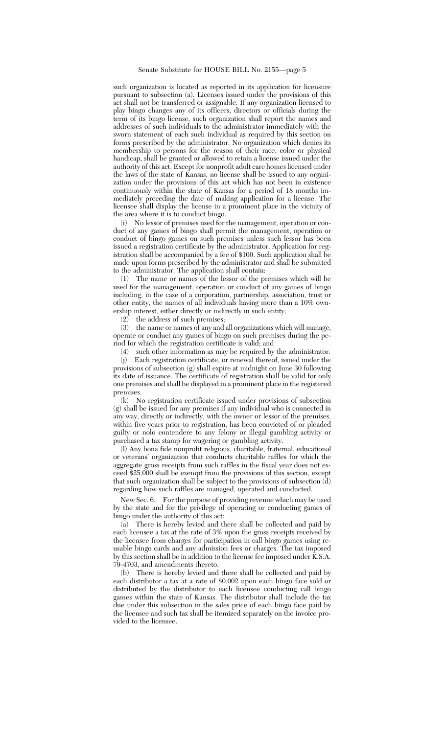such organization is located as reported in its application for licensure pursuant to subsection (a). Licenses issued under the provisions of this act shall not be transferred or assignable. If any organization licensed to play bingo changes any of its officers, directors or officials during the term of its bingo license, such organization shall report the names and addresses of such individuals to the administrator immediately with the sworn statement of each such individual as required by this section on forms prescribed by the administrator. No organization which denies its membership to persons for the reason of their race, color or physical handicap, shall be granted or allowed to retain a license issued under the authority of this act. Except for nonprofit adult care homes licensed under the laws of the state of Kansas, no license shall be issued to any organization under the provisions of this act which has not been in existence continuously within the state of Kansas for a period of 18 months immediately preceding the date of making application for a license. The licensee shall display the license in a prominent place in the vicinity of the area where it is to conduct bingo.

(i) No lessor of premises used for the management, operation or conduct of any games of bingo shall permit the management, operation or conduct of bingo games on such premises unless such lessor has been issued a registration certificate by the administrator. Application for registration shall be accompanied by a fee of \$100. Such application shall be made upon forms prescribed by the administrator and shall be submitted to the administrator. The application shall contain:

(1) The name or names of the lessor of the premises which will be used for the management, operation or conduct of any games of bingo including, in the case of a corporation, partnership, association, trust or other entity, the names of all individuals having more than a 10% ownership interest, either directly or indirectly in such entity;

(2) the address of such premises;

(3) the name or names of any and all organizations which will manage, operate or conduct any games of bingo on such premises during the period for which the registration certificate is valid; and

(4) such other information as may be required by the administrator.

(j) Each registration certificate, or renewal thereof, issued under the provisions of subsection (g) shall expire at midnight on June 30 following its date of issuance. The certificate of registration shall be valid for only one premises and shall be displayed in a prominent place in the registered premises.

(k) No registration certificate issued under provisions of subsection (g) shall be issued for any premises if any individual who is connected in any way, directly or indirectly, with the owner or lessor of the premises, within five years prior to registration, has been convicted of or pleaded guilty or nolo contendere to any felony or illegal gambling activity or purchased a tax stamp for wagering or gambling activity.

(l) Any bona fide nonprofit religious, charitable, fraternal, educational or veterans' organization that conducts charitable raffles for which the aggregate gross receipts from such raffles in the fiscal year does not exceed \$25,000 shall be exempt from the provisions of this section, except that such organization shall be subject to the provisions of subsection  $\overline{d}$ ) regarding how such raffles are managed, operated and conducted.

New Sec. 6. For the purpose of providing revenue which may be used by the state and for the privilege of operating or conducting games of bingo under the authority of this act:

(a) There is hereby levied and there shall be collected and paid by each licensee a tax at the rate of 3% upon the gross receipts received by the licensee from charges for participation in call bingo games using reusable bingo cards and any admission fees or charges. The tax imposed by this section shall be in addition to the license fee imposed under  $\bar{K}$ . S.A. 79-4703, and amendments thereto.

(b) There is hereby levied and there shall be collected and paid by each distributor a tax at a rate of \$0.002 upon each bingo face sold or distributed by the distributor to each licensee conducting call bingo games within the state of Kansas. The distributor shall include the tax due under this subsection in the sales price of each bingo face paid by the licensee and such tax shall be itemized separately on the invoice provided to the licensee.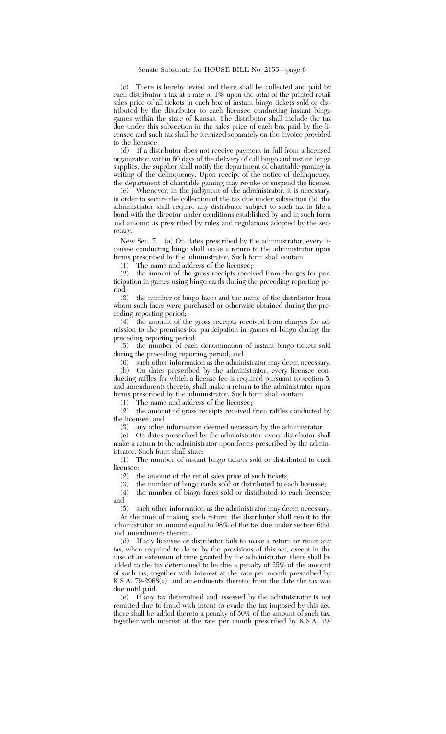(c) There is hereby levied and there shall be collected and paid by each distributor a tax at a rate of 1% upon the total of the printed retail sales price of all tickets in each box of instant bingo tickets sold or distributed by the distributor to each licensee conducting instant bingo games within the state of Kansas. The distributor shall include the tax due under this subsection in the sales price of each box paid by the licensee and such tax shall be itemized separately on the invoice provided to the licensee.

(d) If a distributor does not receive payment in full from a licensed organization within 60 days of the delivery of call bingo and instant bingo supplies, the supplier shall notify the department of charitable gaming in writing of the delinquency. Upon receipt of the notice of delinquency, the department of charitable gaming may revoke or suspend the license.

(e) Whenever, in the judgment of the administrator, it is necessary, in order to secure the collection of the tax due under subsection (b), the administrator shall require any distributor subject to such tax to file a bond with the director under conditions established by and in such form and amount as prescribed by rules and regulations adopted by the secretary.

New Sec. 7. (a) On dates prescribed by the administrator, every licensee conducting bingo shall make a return to the administrator upon forms prescribed by the administrator. Such form shall contain:

(1) The name and address of the licensee;

(2) the amount of the gross receipts received from charges for participation in games using bingo cards during the preceding reporting period;

(3) the number of bingo faces and the name of the distributor from whom such faces were purchased or otherwise obtained during the preceding reporting period;

(4) the amount of the gross receipts received from charges for admission to the premises for participation in games of bingo during the preceding reporting period;

(5) the number of each denomination of instant bingo tickets sold during the preceding reporting period; and

(6) such other information as the administrator may deem necessary. (b) On dates prescribed by the administrator, every licensee con-

ducting raffles for which a license fee is required pursuant to section 5, and amendments thereto, shall make a return to the administrator upon forms prescribed by the administrator. Such form shall contain:

(1) The name and address of the licensee;

(2) the amount of gross receipts received from raffles conducted by the licensee; and

(3) any other information deemed necessary by the administrator.

(c) On dates prescribed by the administrator, every distributor shall make a return to the administrator upon forms prescribed by the administrator. Such form shall state:

(1) The number of instant bingo tickets sold or distributed to each licensee;

(2) the amount of the retail sales price of such tickets;

(3) the number of bingo cards sold or distributed to each licensee;

(4) the number of bingo faces sold or distributed to each licensee; and

(5) such other information as the administrator may deem necessary. At the time of making such return, the distributor shall remit to the

administrator an amount equal to 98% of the tax due under section 6(b), and amendments thereto.

(d) If any licensee or distributor fails to make a return or remit any tax, when required to do so by the provisions of this act, except in the case of an extension of time granted by the administrator, there shall be added to the tax determined to be due a penalty of 25% of the amount of such tax, together with interest at the rate per month prescribed by K.S.A. 79-2968(a), and amendments thereto, from the date the tax was due until paid.

(e) If any tax determined and assessed by the administrator is not remitted due to fraud with intent to evade the tax imposed by this act, there shall be added thereto a penalty of 50% of the amount of such tax, together with interest at the rate per month prescribed by K.S.A. 79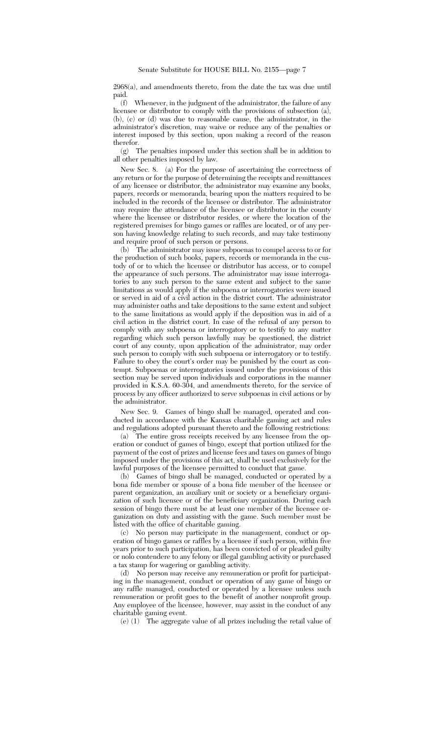2968(a), and amendments thereto, from the date the tax was due until paid.

(f) Whenever, in the judgment of the administrator, the failure of any licensee or distributor to comply with the provisions of subsection (a), (b), (c) or (d) was due to reasonable cause, the administrator, in the administrator's discretion, may waive or reduce any of the penalties or interest imposed by this section, upon making a record of the reason therefor.

(g) The penalties imposed under this section shall be in addition to all other penalties imposed by law.

New Sec. 8. (a) For the purpose of ascertaining the correctness of any return or for the purpose of determining the receipts and remittances of any licensee or distributor, the administrator may examine any books, papers, records or memoranda, bearing upon the matters required to be included in the records of the licensee or distributor. The administrator may require the attendance of the licensee or distributor in the county where the licensee or distributor resides, or where the location of the registered premises for bingo games or raffles are located, or of any person having knowledge relating to such records, and may take testimony and require proof of such person or persons.

(b) The administrator may issue subpoenas to compel access to or for the production of such books, papers, records or memoranda in the custody of or to which the licensee or distributor has access, or to compel the appearance of such persons. The administrator may issue interrogatories to any such person to the same extent and subject to the same limitations as would apply if the subpoena or interrogatories were issued or served in aid of a civil action in the district court. The administrator may administer oaths and take depositions to the same extent and subject to the same limitations as would apply if the deposition was in aid of a civil action in the district court. In case of the refusal of any person to comply with any subpoena or interrogatory or to testify to any matter regarding which such person lawfully may be questioned, the district court of any county, upon application of the administrator, may order such person to comply with such subpoena or interrogatory or to testify. Failure to obey the court's order may be punished by the court as contempt. Subpoenas or interrogatories issued under the provisions of this section may be served upon individuals and corporations in the manner provided in K.S.A. 60-304, and amendments thereto, for the service of process by any officer authorized to serve subpoenas in civil actions or by the administrator.

New Sec. 9. Games of bingo shall be managed, operated and conducted in accordance with the Kansas charitable gaming act and rules and regulations adopted pursuant thereto and the following restrictions:

(a) The entire gross receipts received by any licensee from the operation or conduct of games of bingo, except that portion utilized for the payment of the cost of prizes and license fees and taxes on games of bingo imposed under the provisions of this act, shall be used exclusively for the lawful purposes of the licensee permitted to conduct that game.

(b) Games of bingo shall be managed, conducted or operated by a bona fide member or spouse of a bona fide member of the licensee or parent organization, an auxiliary unit or society or a beneficiary organization of such licensee or of the beneficiary organization. During each session of bingo there must be at least one member of the licensee organization on duty and assisting with the game. Such member must be listed with the office of charitable gaming.

(c) No person may participate in the management, conduct or operation of bingo games or raffles by a licensee if such person, within five years prior to such participation, has been convicted of or pleaded guilty or nolo contendere to any felony or illegal gambling activity or purchased a tax stamp for wagering or gambling activity.

(d) No person may receive any remuneration or profit for participating in the management, conduct or operation of any game of bingo or any raffle managed, conducted or operated by a licensee unless such remuneration or profit goes to the benefit of another nonprofit group. Any employee of the licensee, however, may assist in the conduct of any charitable gaming event.

(e) (1) The aggregate value of all prizes including the retail value of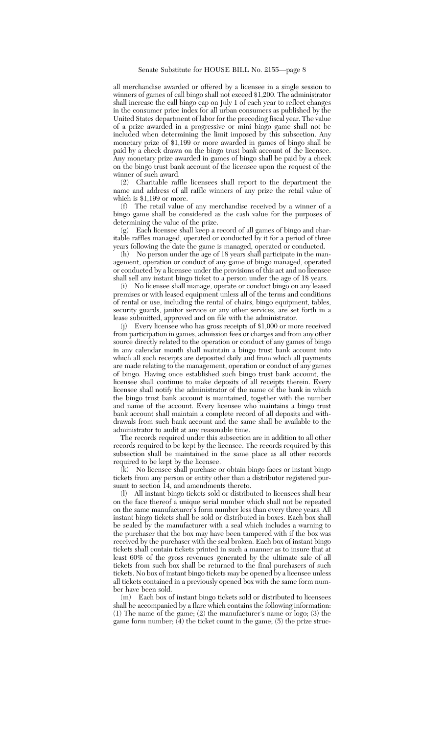all merchandise awarded or offered by a licensee in a single session to winners of games of call bingo shall not exceed \$1,200. The administrator shall increase the call bingo cap on July 1 of each year to reflect changes in the consumer price index for all urban consumers as published by the United States department of labor for the preceding fiscal year. The value of a prize awarded in a progressive or mini bingo game shall not be included when determining the limit imposed by this subsection. Any monetary prize of \$1,199 or more awarded in games of bingo shall be paid by a check drawn on the bingo trust bank account of the licensee. Any monetary prize awarded in games of bingo shall be paid by a check on the bingo trust bank account of the licensee upon the request of the winner of such award.

(2) Charitable raffle licensees shall report to the department the name and address of all raffle winners of any prize the retail value of which is \$1,199 or more.

(f) The retail value of any merchandise received by a winner of a bingo game shall be considered as the cash value for the purposes of determining the value of the prize.

(g) Each licensee shall keep a record of all games of bingo and charitable raffles managed, operated or conducted by it for a period of three years following the date the game is managed, operated or conducted.

(h) No person under the age of 18 years shall participate in the management, operation or conduct of any game of bingo managed, operated or conducted by a licensee under the provisions of this act and no licensee shall sell any instant bingo ticket to a person under the age of 18 years.

(i) No licensee shall manage, operate or conduct bingo on any leased premises or with leased equipment unless all of the terms and conditions of rental or use, including the rental of chairs, bingo equipment, tables, security guards, janitor service or any other services, are set forth in a lease submitted, approved and on file with the administrator.

(j) Every licensee who has gross receipts of \$1,000 or more received from participation in games, admission fees or charges and from any other source directly related to the operation or conduct of any games of bingo in any calendar month shall maintain a bingo trust bank account into which all such receipts are deposited daily and from which all payments are made relating to the management, operation or conduct of any games of bingo. Having once established such bingo trust bank account, the licensee shall continue to make deposits of all receipts therein. Every licensee shall notify the administrator of the name of the bank in which the bingo trust bank account is maintained, together with the number and name of the account. Every licensee who maintains a bingo trust bank account shall maintain a complete record of all deposits and withdrawals from such bank account and the same shall be available to the administrator to audit at any reasonable time.

The records required under this subsection are in addition to all other records required to be kept by the licensee. The records required by this subsection shall be maintained in the same place as all other records required to be kept by the licensee.

(k) No licensee shall purchase or obtain bingo faces or instant bingo tickets from any person or entity other than a distributor registered pursuant to section 14, and amendments thereto.

(l) All instant bingo tickets sold or distributed to licensees shall bear on the face thereof a unique serial number which shall not be repeated on the same manufacturer's form number less than every three years. All instant bingo tickets shall be sold or distributed in boxes. Each box shall be sealed by the manufacturer with a seal which includes a warning to the purchaser that the box may have been tampered with if the box was received by the purchaser with the seal broken. Each box of instant bingo tickets shall contain tickets printed in such a manner as to insure that at least 60% of the gross revenues generated by the ultimate sale of all tickets from such box shall be returned to the final purchasers of such tickets. No box of instant bingo tickets may be opened by a licensee unless all tickets contained in a previously opened box with the same form number have been sold.

(m) Each box of instant bingo tickets sold or distributed to licensees shall be accompanied by a flare which contains the following information: (1) The name of the game; (2) the manufacturer's name or logo; (3) the game form number;  $(4)$  the ticket count in the game;  $(5)$  the prize struc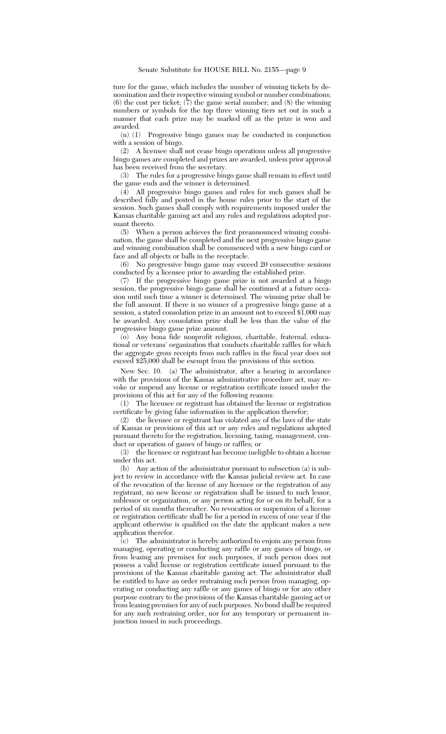ture for the game, which includes the number of winning tickets by denomination and their respective winning symbol or number combinations; (6) the cost per ticket;  $(7)$  the game serial number; and (8) the winning numbers or symbols for the top three winning tiers set out in such a manner that each prize may be marked off as the prize is won and awarded.

(n) (1) Progressive bingo games may be conducted in conjunction with a session of bingo.

(2) A licensee shall not cease bingo operations unless all progressive bingo games are completed and prizes are awarded, unless prior approval has been received from the secretary.

(3) The rules for a progressive bingo game shall remain in effect until the game ends and the winner is determined.

(4) All progressive bingo games and rules for such games shall be described fully and posted in the house rules prior to the start of the session. Such games shall comply with requirements imposed under the Kansas charitable gaming act and any rules and regulations adopted pursuant thereto.

(5) When a person achieves the first preannounced winning combination, the game shall be completed and the next progressive bingo game and winning combination shall be commenced with a new bingo card or face and all objects or balls in the receptacle.

(6) No progressive bingo game may exceed 20 consecutive sessions conducted by a licensee prior to awarding the established prize.

(7) If the progressive bingo game prize is not awarded at a bingo session, the progressive bingo game shall be continued at a future occasion until such time a winner is determined. The winning prize shall be the full amount. If there is no winner of a progressive bingo game at a session, a stated consolation prize in an amount not to exceed \$1,000 may be awarded. Any consolation prize shall be less than the value of the progressive bingo game prize amount.

(o) Any bona fide nonprofit religious, charitable, fraternal, educational or veterans' organization that conducts charitable raffles for which the aggregate gross receipts from such raffles in the fiscal year does not exceed \$25,000 shall be exempt from the provisions of this section.

New Sec. 10. (a) The administrator, after a hearing in accordance with the provisions of the Kansas administrative procedure act, may revoke or suspend any license or registration certificate issued under the provisions of this act for any of the following reasons:

(1) The licensee or registrant has obtained the license or registration certificate by giving false information in the application therefor;

(2) the licensee or registrant has violated any of the laws of the state of Kansas or provisions of this act or any rules and regulations adopted pursuant thereto for the registration, licensing, taxing, management, conduct or operation of games of bingo or raffles; or

(3) the licensee or registrant has become ineligible to obtain a license under this act.

(b) Any action of the administrator pursuant to subsection (a) is subject to review in accordance with the Kansas judicial review act. In case of the revocation of the license of any licensee or the registration of any registrant, no new license or registration shall be issued to such lessor, sublessor or organization, or any person acting for or on its behalf, for a period of six months thereafter. No revocation or suspension of a license or registration certificate shall be for a period in excess of one year if the applicant otherwise is qualified on the date the applicant makes a new application therefor.

(c) The administrator is hereby authorized to enjoin any person from managing, operating or conducting any raffle or any games of bingo, or from leasing any premises for such purposes, if such person does not possess a valid license or registration certificate issued pursuant to the provisions of the Kansas charitable gaming act. The administrator shall be entitled to have an order restraining such person from managing, operating or conducting any raffle or any games of bingo or for any other purpose contrary to the provisions of the Kansas charitable gaming act or from leasing premises for any of such purposes. No bond shall be required for any such restraining order, nor for any temporary or permanent injunction issued in such proceedings.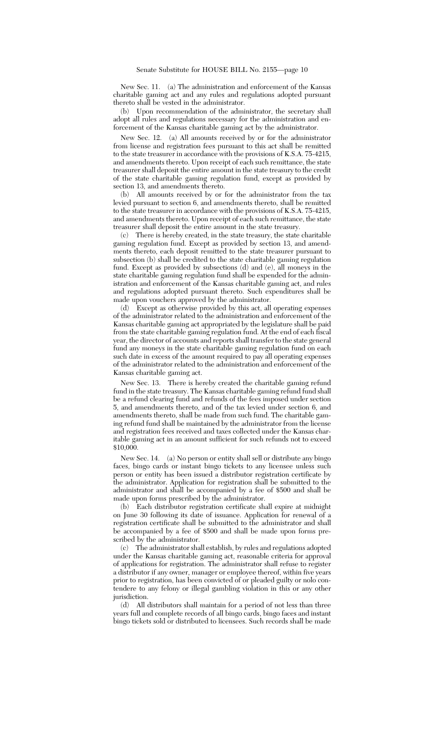New Sec. 11. (a) The administration and enforcement of the Kansas charitable gaming act and any rules and regulations adopted pursuant thereto shall be vested in the administrator.

(b) Upon recommendation of the administrator, the secretary shall adopt all rules and regulations necessary for the administration and enforcement of the Kansas charitable gaming act by the administrator.

New Sec. 12. (a) All amounts received by or for the administrator from license and registration fees pursuant to this act shall be remitted to the state treasurer in accordance with the provisions of K.S.A. 75-4215, and amendments thereto. Upon receipt of each such remittance, the state treasurer shall deposit the entire amount in the state treasury to the credit of the state charitable gaming regulation fund, except as provided by section 13, and amendments thereto.

(b) All amounts received by or for the administrator from the tax levied pursuant to section 6, and amendments thereto, shall be remitted to the state treasurer in accordance with the provisions of K.S.A. 75-4215, and amendments thereto. Upon receipt of each such remittance, the state treasurer shall deposit the entire amount in the state treasury.

(c) There is hereby created, in the state treasury, the state charitable gaming regulation fund. Except as provided by section 13, and amendments thereto, each deposit remitted to the state treasurer pursuant to subsection (b) shall be credited to the state charitable gaming regulation fund. Except as provided by subsections (d) and (e), all moneys in the state charitable gaming regulation fund shall be expended for the administration and enforcement of the Kansas charitable gaming act, and rules and regulations adopted pursuant thereto. Such expenditures shall be made upon vouchers approved by the administrator.

(d) Except as otherwise provided by this act, all operating expenses of the administrator related to the administration and enforcement of the Kansas charitable gaming act appropriated by the legislature shall be paid from the state charitable gaming regulation fund. At the end of each fiscal year, the director of accounts and reports shall transfer to the state general fund any moneys in the state charitable gaming regulation fund on each such date in excess of the amount required to pay all operating expenses of the administrator related to the administration and enforcement of the Kansas charitable gaming act.

New Sec. 13. There is hereby created the charitable gaming refund fund in the state treasury. The Kansas charitable gaming refund fund shall be a refund clearing fund and refunds of the fees imposed under section 5, and amendments thereto, and of the tax levied under section 6, and amendments thereto, shall be made from such fund. The charitable gaming refund fund shall be maintained by the administrator from the license and registration fees received and taxes collected under the Kansas charitable gaming act in an amount sufficient for such refunds not to exceed \$10,000.

New Sec. 14. (a) No person or entity shall sell or distribute any bingo faces, bingo cards or instant bingo tickets to any licensee unless such person or entity has been issued a distributor registration certificate by the administrator. Application for registration shall be submitted to the administrator and shall be accompanied by a fee of \$500 and shall be made upon forms prescribed by the administrator.

(b) Each distributor registration certificate shall expire at midnight on June 30 following its date of issuance. Application for renewal of a registration certificate shall be submitted to the administrator and shall be accompanied by a fee of \$500 and shall be made upon forms prescribed by the administrator.

(c) The administrator shall establish, by rules and regulations adopted under the Kansas charitable gaming act, reasonable criteria for approval of applications for registration. The administrator shall refuse to register a distributor if any owner, manager or employee thereof, within five years prior to registration, has been convicted of or pleaded guilty or nolo contendere to any felony or illegal gambling violation in this or any other jurisdiction.

(d) All distributors shall maintain for a period of not less than three years full and complete records of all bingo cards, bingo faces and instant bingo tickets sold or distributed to licensees. Such records shall be made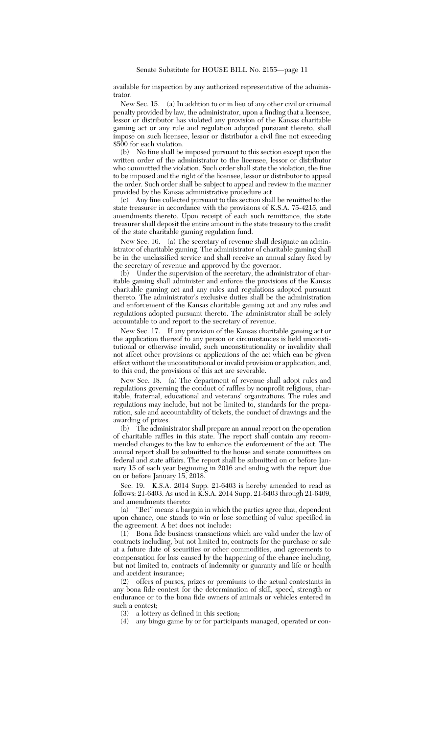available for inspection by any authorized representative of the administrator.

New Sec. 15. (a) In addition to or in lieu of any other civil or criminal penalty provided by law, the administrator, upon a finding that a licensee, lessor or distributor has violated any provision of the Kansas charitable gaming act or any rule and regulation adopted pursuant thereto, shall impose on such licensee, lessor or distributor a civil fine not exceeding \$500 for each violation.

(b) No fine shall be imposed pursuant to this section except upon the written order of the administrator to the licensee, lessor or distributor who committed the violation. Such order shall state the violation, the fine to be imposed and the right of the licensee, lessor or distributor to appeal the order. Such order shall be subject to appeal and review in the manner provided by the Kansas administrative procedure act.

(c) Any fine collected pursuant to this section shall be remitted to the state treasurer in accordance with the provisions of K.S.A. 75-4215, and amendments thereto. Upon receipt of each such remittance, the state treasurer shall deposit the entire amount in the state treasury to the credit of the state charitable gaming regulation fund.

New Sec. 16. (a) The secretary of revenue shall designate an administrator of charitable gaming. The administrator of charitable gaming shall be in the unclassified service and shall receive an annual salary fixed by the secretary of revenue and approved by the governor.

(b) Under the supervision of the secretary, the administrator of charitable gaming shall administer and enforce the provisions of the Kansas charitable gaming act and any rules and regulations adopted pursuant thereto. The administrator's exclusive duties shall be the administration and enforcement of the Kansas charitable gaming act and any rules and regulations adopted pursuant thereto. The administrator shall be solely accountable to and report to the secretary of revenue.

New Sec. 17. If any provision of the Kansas charitable gaming act or the application thereof to any person or circumstances is held unconstitutional or otherwise invalid, such unconstitutionality or invalidity shall not affect other provisions or applications of the act which can be given effect without the unconstitutional or invalid provision or application, and, to this end, the provisions of this act are severable.

New Sec. 18. (a) The department of revenue shall adopt rules and regulations governing the conduct of raffles by nonprofit religious, charitable, fraternal, educational and veterans' organizations. The rules and regulations may include, but not be limited to, standards for the preparation, sale and accountability of tickets, the conduct of drawings and the awarding of prizes.

(b) The administrator shall prepare an annual report on the operation of charitable raffles in this state. The report shall contain any recommended changes to the law to enhance the enforcement of the act. The annual report shall be submitted to the house and senate committees on federal and state affairs. The report shall be submitted on or before January 15 of each year beginning in 2016 and ending with the report due on or before January 15, 2018.

Sec. 19. K.S.A. 2014 Supp. 21-6403 is hereby amended to read as follows: 21-6403. As used in K.S.A. 2014 Supp. 21-6403 through 21-6409, and amendments thereto:

(a) ''Bet'' means a bargain in which the parties agree that, dependent upon chance, one stands to win or lose something of value specified in the agreement. A bet does not include:

(1) Bona fide business transactions which are valid under the law of contracts including, but not limited to, contracts for the purchase or sale at a future date of securities or other commodities, and agreements to compensation for loss caused by the happening of the chance including, but not limited to, contracts of indemnity or guaranty and life or health and accident insurance;

(2) offers of purses, prizes or premiums to the actual contestants in any bona fide contest for the determination of skill, speed, strength or endurance or to the bona fide owners of animals or vehicles entered in such a contest;

(3) a lottery as defined in this section;

(4) any bingo game by or for participants managed, operated or con-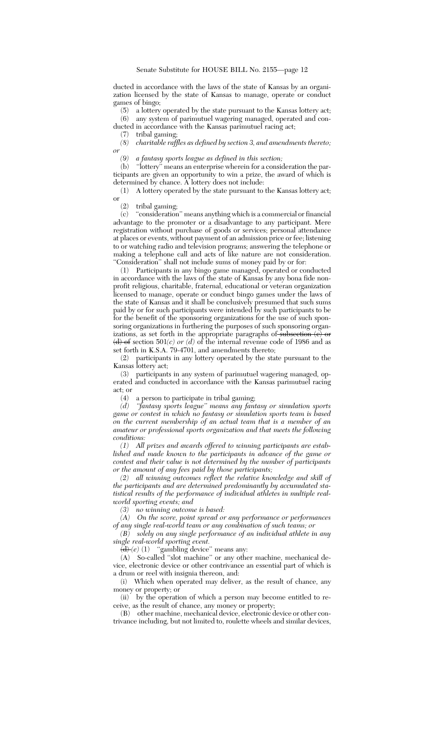ducted in accordance with the laws of the state of Kansas by an organization licensed by the state of Kansas to manage, operate or conduct games of bingo;

(5) a lottery operated by the state pursuant to the Kansas lottery act; (6) any system of parimutuel wagering managed, operated and con-

ducted in accordance with the Kansas parimutuel racing act;<br>(7) tribal gaming

tribal gaming;

*(8) charitable raffles as defined by section 3, and amendments thereto; or*

*(9) a fantasy sports league as defined in this section;*

(b) ''lottery'' means an enterprise wherein for a consideration the participants are given an opportunity to win a prize, the award of which is determined by chance. A lottery does not include:

(1) A lottery operated by the state pursuant to the Kansas lottery act; or  $(2)$ 

(2) tribal gaming;

"consideration" means anything which is a commercial or financial advantage to the promoter or a disadvantage to any participant. Mere registration without purchase of goods or services; personal attendance at places or events, without payment of an admission price or fee; listening to or watching radio and television programs; answering the telephone or making a telephone call and acts of like nature are not consideration. "Consideration" shall not include sums of money paid by or for:

(1) Participants in any bingo game managed, operated or conducted in accordance with the laws of the state of Kansas by any bona fide nonprofit religious, charitable, fraternal, educational or veteran organization licensed to manage, operate or conduct bingo games under the laws of the state of Kansas and it shall be conclusively presumed that such sums paid by or for such participants were intended by such participants to be for the benefit of the sponsoring organizations for the use of such sponsoring organizations in furthering the purposes of such sponsoring organizations, as set forth in the appropriate paragraphs of subsection  $(e)$  or  $(d)$  of section 501(c) or (d) of the internal revenue code of 1986 and as set forth in K.S.A. 79-4701, and amendments thereto;

(2) participants in any lottery operated by the state pursuant to the Kansas lottery act;

(3) participants in any system of parimutuel wagering managed, operated and conducted in accordance with the Kansas parimutuel racing act; or

(4) a person to participate in tribal gaming;

*(d) ''fantasy sports league'' means any fantasy or simulation sports game or contest in which no fantasy or simulation sports team is based on the current membership of an actual team that is a member of an amateur or professional sports organization and that meets the following conditions:*

*(1) All prizes and awards offered to winning participants are established and made known to the participants in advance of the game or contest and their value is not determined by the number of participants or the amount of any fees paid by those participants;*

*(2) all winning outcomes reflect the relative knowledge and skill of the participants and are determined predominantly by accumulated statistical results of the performance of individual athletes in multiple realworld sporting events; and*

*(3) no winning outcome is based:*

*(A) On the score, point spread or any performance or performances of any single real-world team or any combination of such teams; or*

*(B) solely on any single performance of an individual athlete in any single real-world sporting event.*

 $\frac{d}{dt}(e)$  (1) "gambling device" means any:<br>(A) So-called "slot machine" or any other

So-called "slot machine" or any other machine, mechanical device, electronic device or other contrivance an essential part of which is a drum or reel with insignia thereon, and:

(i) Which when operated may deliver, as the result of chance, any money or property; or

(ii) by the operation of which a person may become entitled to receive, as the result of chance, any money or property;

(B) other machine, mechanical device, electronic device or other contrivance including, but not limited to, roulette wheels and similar devices,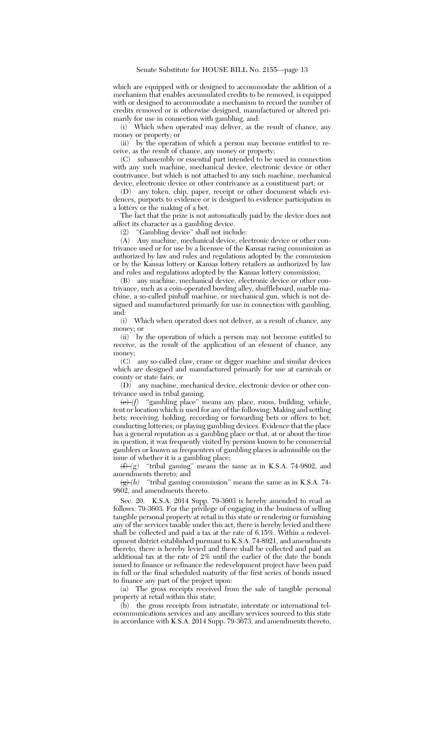which are equipped with or designed to accommodate the addition of a mechanism that enables accumulated credits to be removed, is equipped with or designed to accommodate a mechanism to record the number of credits removed or is otherwise designed, manufactured or altered primarily for use in connection with gambling, and:

(i) Which when operated may deliver, as the result of chance, any money or property; or

(ii) by the operation of which a person may become entitled to receive, as the result of chance, any money or property;

(C) subassembly or essential part intended to be used in connection with any such machine, mechanical device, electronic device or other contrivance, but which is not attached to any such machine, mechanical device, electronic device or other contrivance as a constituent part; or

(D) any token, chip, paper, receipt or other document which evidences, purports to evidence or is designed to evidence participation in a lottery or the making of a bet.

The fact that the prize is not automatically paid by the device does not affect its character as a gambling device.

(2) ''Gambling device'' shall not include:

(A) Any machine, mechanical device, electronic device or other contrivance used or for use by a licensee of the Kansas racing commission as authorized by law and rules and regulations adopted by the commission or by the Kansas lottery or Kansas lottery retailers as authorized by law and rules and regulations adopted by the Kansas lottery commission;

(B) any machine, mechanical device, electronic device or other contrivance, such as a coin-operated bowling alley, shuffleboard, marble machine, a so-called pinball machine, or mechanical gun, which is not designed and manufactured primarily for use in connection with gambling, and:

(i) Which when operated does not deliver, as a result of chance, any money; or

(ii) by the operation of which a person may not become entitled to receive, as the result of the application of an element of chance, any money;

(C) any so-called claw, crane or digger machine and similar devices which are designed and manufactured primarily for use at carnivals or county or state fairs; or

(D) any machine, mechanical device, electronic device or other contrivance used in tribal gaming;

(e) *(f)* ''gambling place'' means any place, room, building, vehicle, tent or location which is used for any of the following: Making and settling bets; receiving, holding, recording or forwarding bets or offers to bet; conducting lotteries; or playing gambling devices. Evidence that the place has a general reputation as a gambling place or that, at or about the time in question, it was frequently visited by persons known to be commercial gamblers or known as frequenters of gambling places is admissible on the issue of whether it is a gambling place;

 $(f)$  *(f) (g)* "tribal gaming" means the same as in K.S.A. 74-9802, and amendments thereto; and

 $\left(\frac{g}{g}\right)$  <sup>'</sup>tribal gaming commission'' means the same as in K.S.A. 74-9802, and amendments thereto.

Sec. 20. K.S.A. 2014 Supp. 79-3603 is hereby amended to read as follows: 79-3603. For the privilege of engaging in the business of selling tangible personal property at retail in this state or rendering or furnishing any of the services taxable under this act, there is hereby levied and there shall be collected and paid a tax at the rate of 6.15%. Within a redevelopment district established pursuant to K.S.A. 74-8921, and amendments thereto, there is hereby levied and there shall be collected and paid an additional tax at the rate of 2% until the earlier of the date the bonds issued to finance or refinance the redevelopment project have been paid in full or the final scheduled maturity of the first series of bonds issued to finance any part of the project upon:

(a) The gross receipts received from the sale of tangible personal property at retail within this state;

(b) the gross receipts from intrastate, interstate or international telecommunications services and any ancillary services sourced to this state in accordance with K.S.A. 2014 Supp. 79-3673, and amendments thereto,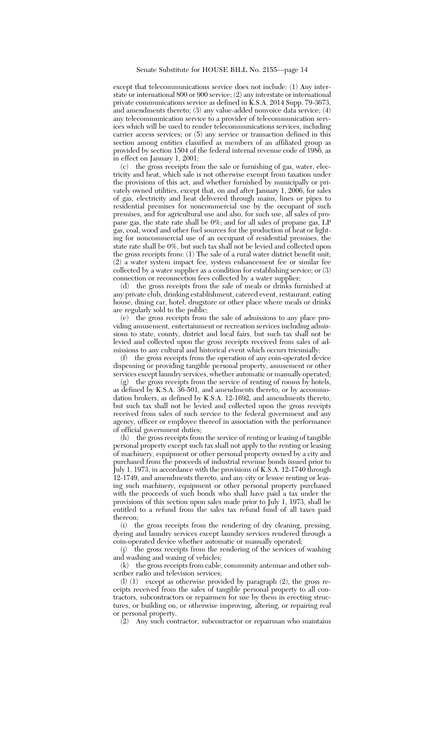except that telecommunications service does not include: (1) Any interstate or international 800 or 900 service; (2) any interstate or international private communications service as defined in  $K.S.A. 2014$  Supp. 79-3673, and amendments thereto; (3) any value-added nonvoice data service; (4) any telecommunication service to a provider of telecommunication services which will be used to render telecommunications services, including carrier access services; or (5) any service or transaction defined in this section among entities classified as members of an affiliated group as provided by section 1504 of the federal internal revenue code of 1986, as in effect on January 1, 2001;

(c) the gross receipts from the sale or furnishing of gas, water, electricity and heat, which sale is not otherwise exempt from taxation under the provisions of this act, and whether furnished by municipally or privately owned utilities, except that, on and after January 1, 2006, for sales of gas, electricity and heat delivered through mains, lines or pipes to residential premises for noncommercial use by the occupant of such premises, and for agricultural use and also, for such use, all sales of propane gas, the state rate shall be 0%; and for all sales of propane gas, LP gas, coal, wood and other fuel sources for the production of heat or lighting for noncommercial use of an occupant of residential premises, the state rate shall be 0%, but such tax shall not be levied and collected upon the gross receipts from: (1) The sale of a rural water district benefit unit; (2) a water system impact fee, system enhancement fee or similar fee collected by a water supplier as a condition for establishing service; or (3) connection or reconnection fees collected by a water supplier;

(d) the gross receipts from the sale of meals or drinks furnished at any private club, drinking establishment, catered event, restaurant, eating house, dining car, hotel, drugstore or other place where meals or drinks are regularly sold to the public;

(e) the gross receipts from the sale of admissions to any place providing amusement, entertainment or recreation services including admissions to state, county, district and local fairs, but such tax shall not be levied and collected upon the gross receipts received from sales of admissions to any cultural and historical event which occurs triennially;

(f) the gross receipts from the operation of any coin-operated device dispensing or providing tangible personal property, amusement or other services except laundry services, whether automatic or manually operated;

(g) the gross receipts from the service of renting of rooms by hotels, as defined by K.S.A. 36-501, and amendments thereto, or by accommodation brokers, as defined by K.S.A. 12-1692, and amendments thereto, but such tax shall not be levied and collected upon the gross receipts received from sales of such service to the federal government and any agency, officer or employee thereof in association with the performance of official government duties;

(h) the gross receipts from the service of renting or leasing of tangible personal property except such tax shall not apply to the renting or leasing of machinery, equipment or other personal property owned by a city and purchased from the proceeds of industrial revenue bonds issued prior to July 1, 1973, in accordance with the provisions of K.S.A. 12-1740 through 12-1749, and amendments thereto, and any city or lessee renting or leasing such machinery, equipment or other personal property purchased with the proceeds of such bonds who shall have paid a tax under the provisions of this section upon sales made prior to July 1, 1973, shall be entitled to a refund from the sales tax refund fund of all taxes paid thereon;

(i) the gross receipts from the rendering of dry cleaning, pressing, dyeing and laundry services except laundry services rendered through a coin-operated device whether automatic or manually operated;

(j) the gross receipts from the rendering of the services of washing and washing and waxing of vehicles;

(k) the gross receipts from cable, community antennae and other subscriber radio and television services;

(l) (1) except as otherwise provided by paragraph (2), the gross receipts received from the sales of tangible personal property to all contractors, subcontractors or repairmen for use by them in erecting structures, or building on, or otherwise improving, altering, or repairing real or personal property.

 $\overline{2}$  Any such contractor, subcontractor or repairman who maintains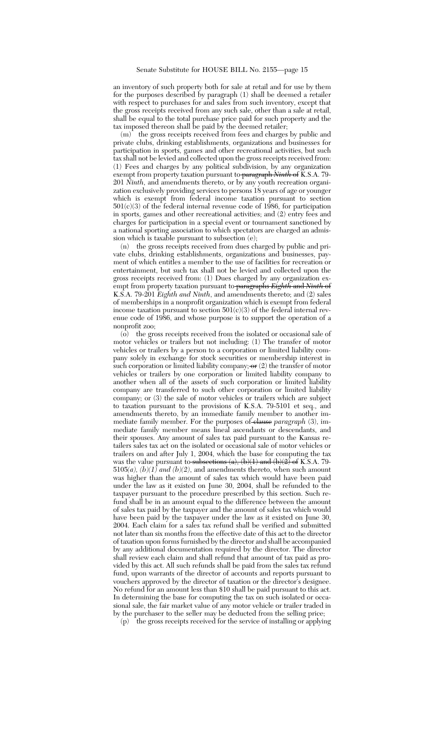an inventory of such property both for sale at retail and for use by them for the purposes described by paragraph (1) shall be deemed a retailer with respect to purchases for and sales from such inventory, except that the gross receipts received from any such sale, other than a sale at retail, shall be equal to the total purchase price paid for such property and the tax imposed thereon shall be paid by the deemed retailer;

(m) the gross receipts received from fees and charges by public and private clubs, drinking establishments, organizations and businesses for participation in sports, games and other recreational activities, but such tax shall not be levied and collected upon the gross receipts received from: (1) Fees and charges by any political subdivision, by any organization exempt from property taxation pursuant to paragraph *Ninth* of K.S.A. 79- 201 *Ninth*, and amendments thereto, or by any youth recreation organization exclusively providing services to persons 18 years of age or younger which is exempt from federal income taxation pursuant to section  $501(c)(3)$  of the federal internal revenue code of 1986, for participation in sports, games and other recreational activities; and (2) entry fees and charges for participation in a special event or tournament sanctioned by a national sporting association to which spectators are charged an admission which is taxable pursuant to subsection (e);

(n) the gross receipts received from dues charged by public and private clubs, drinking establishments, organizations and businesses, payment of which entitles a member to the use of facilities for recreation or entertainment, but such tax shall not be levied and collected upon the gross receipts received from: (1) Dues charged by any organization exempt from property taxation pursuant to paragraphs *Eighth* and *Ninth* of K.S.A. 79-201 *Eighth and Ninth*, and amendments thereto; and (2) sales of memberships in a nonprofit organization which is exempt from federal income taxation pursuant to section  $501(c)(3)$  of the federal internal revenue code of 1986, and whose purpose is to support the operation of a nonprofit zoo;

(o) the gross receipts received from the isolated or occasional sale of motor vehicles or trailers but not including: (1) The transfer of motor vehicles or trailers by a person to a corporation or limited liability company solely in exchange for stock securities or membership interest in such corporation or limited liability company;  $\sigma$  (2) the transfer of motor vehicles or trailers by one corporation or limited liability company to another when all of the assets of such corporation or limited liability company are transferred to such other corporation or limited liability company; or (3) the sale of motor vehicles or trailers which are subject to taxation pursuant to the provisions of K.S.A. 79-5101 et seq., and amendments thereto, by an immediate family member to another immediate family member. For the purposes of clause *paragraph* (3), immediate family member means lineal ascendants or descendants, and their spouses. Any amount of sales tax paid pursuant to the Kansas retailers sales tax act on the isolated or occasional sale of motor vehicles or trailers on and after July 1, 2004, which the base for computing the tax was the value pursuant to subsections (a), (b)(1) and (b)( $2$ ) of K.S.A. 79-5105 $(a)$ ,  $(b)(1)$  and  $(b)(2)$ , and amendments thereto, when such amount was higher than the amount of sales tax which would have been paid under the law as it existed on June 30, 2004, shall be refunded to the taxpayer pursuant to the procedure prescribed by this section. Such refund shall be in an amount equal to the difference between the amount of sales tax paid by the taxpayer and the amount of sales tax which would have been paid by the taxpayer under the law as it existed on June 30, 2004. Each claim for a sales tax refund shall be verified and submitted not later than six months from the effective date of this act to the director of taxation upon forms furnished by the director and shall be accompanied by any additional documentation required by the director. The director shall review each claim and shall refund that amount of tax paid as provided by this act. All such refunds shall be paid from the sales tax refund fund, upon warrants of the director of accounts and reports pursuant to vouchers approved by the director of taxation or the director's designee. No refund for an amount less than \$10 shall be paid pursuant to this act. In determining the base for computing the tax on such isolated or occasional sale, the fair market value of any motor vehicle or trailer traded in by the purchaser to the seller may be deducted from the selling price;

(p) the gross receipts received for the service of installing or applying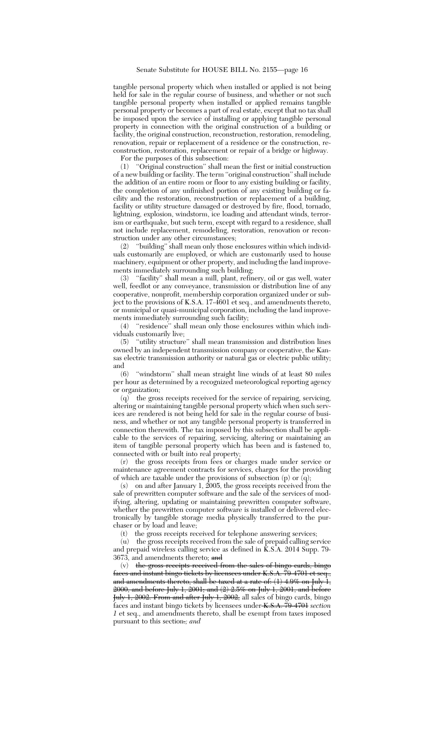tangible personal property which when installed or applied is not being held for sale in the regular course of business, and whether or not such tangible personal property when installed or applied remains tangible personal property or becomes a part of real estate, except that no tax shall be imposed upon the service of installing or applying tangible personal property in connection with the original construction of a building or facility, the original construction, reconstruction, restoration, remodeling, renovation, repair or replacement of a residence or the construction, reconstruction, restoration, replacement or repair of a bridge or highway.

For the purposes of this subsection:

(1) ''Original construction'' shall mean the first or initial construction of a new building or facility. The term ''original construction'' shall include the addition of an entire room or floor to any existing building or facility, the completion of any unfinished portion of any existing building or facility and the restoration, reconstruction or replacement of a building, facility or utility structure damaged or destroyed by fire, flood, tornado, lightning, explosion, windstorm, ice loading and attendant winds, terrorism or earthquake, but such term, except with regard to a residence, shall not include replacement, remodeling, restoration, renovation or reconstruction under any other circumstances;

(2) ''building'' shall mean only those enclosures within which individuals customarily are employed, or which are customarily used to house machinery, equipment or other property, and including the land improvements immediately surrounding such building;

(3) ''facility'' shall mean a mill, plant, refinery, oil or gas well, water well, feedlot or any conveyance, transmission or distribution line of any cooperative, nonprofit, membership corporation organized under or subject to the provisions of K.S.A. 17-4601 et seq., and amendments thereto, or municipal or quasi-municipal corporation, including the land improvements immediately surrounding such facility;

(4) ''residence'' shall mean only those enclosures within which individuals customarily live;

(5) ''utility structure'' shall mean transmission and distribution lines owned by an independent transmission company or cooperative, the Kansas electric transmission authority or natural gas or electric public utility; and  $(6)$ 

"windstorm" shall mean straight line winds of at least 80 miles per hour as determined by a recognized meteorological reporting agency or organization;

 $(q)$  the gross receipts received for the service of repairing, servicing, altering or maintaining tangible personal property which when such services are rendered is not being held for sale in the regular course of business, and whether or not any tangible personal property is transferred in connection therewith. The tax imposed by this subsection shall be applicable to the services of repairing, servicing, altering or maintaining an item of tangible personal property which has been and is fastened to, connected with or built into real property;

(r) the gross receipts from fees or charges made under service or maintenance agreement contracts for services, charges for the providing of which are taxable under the provisions of subsection  $(p)$  or  $(q)$ ;

(s) on and after January 1, 2005, the gross receipts received from the sale of prewritten computer software and the sale of the services of modifying, altering, updating or maintaining prewritten computer software, whether the prewritten computer software is installed or delivered electronically by tangible storage media physically transferred to the purchaser or by load and leave;

(t) the gross receipts received for telephone answering services;

(u) the gross receipts received from the sale of prepaid calling service and prepaid wireless calling service as defined in K.S.A. 2014 Supp. 79- 3673, and amendments thereto; and

(v) the gross receipts received from the sales of bingo cards, bingo faces and instant bingo tickets by licensees under K.S.A. 70-4701 et seq., and amendments thereto, shall be taxed at a rate of:  $(1)$  4.9% on July 1, 2000, and before July 1, 2001; and (2) 2.5% on July 1, 2001, and before <del>July 1, 2002. From and after July 1, 2002,</del> all sales of bingo cards, bingo faces and instant bingo tickets by licensees under K.S.A. 79-4701 *section 1* et seq., and amendments thereto, shall be exempt from taxes imposed pursuant to this section.*; and*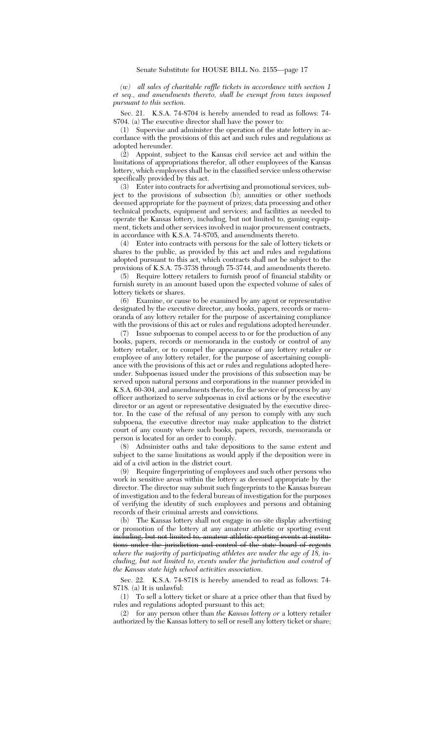*(w) all sales of charitable raffle tickets in accordance with section 1 et seq., and amendments thereto, shall be exempt from taxes imposed pursuant to this section.*

Sec. 21. K.S.A. 74-8704 is hereby amended to read as follows: 74- 8704. (a) The executive director shall have the power to:

(1) Supervise and administer the operation of the state lottery in accordance with the provisions of this act and such rules and regulations as adopted hereunder.

(2) Appoint, subject to the Kansas civil service act and within the limitations of appropriations therefor, all other employees of the Kansas lottery, which employees shall be in the classified service unless otherwise specifically provided by this act.

(3) Enter into contracts for advertising and promotional services, subject to the provisions of subsection (b); annuities or other methods deemed appropriate for the payment of prizes; data processing and other technical products, equipment and services; and facilities as needed to operate the Kansas lottery, including, but not limited to, gaming equipment, tickets and other services involved in major procurement contracts, in accordance with K.S.A. 74-8705, and amendments thereto.

(4) Enter into contracts with persons for the sale of lottery tickets or shares to the public, as provided by this act and rules and regulations adopted pursuant to this act, which contracts shall not be subject to the provisions of K.S.A. 75-3738 through 75-3744, and amendments thereto.

(5) Require lottery retailers to furnish proof of financial stability or furnish surety in an amount based upon the expected volume of sales of lottery tickets or shares.

(6) Examine, or cause to be examined by any agent or representative designated by the executive director, any books, papers, records or memoranda of any lottery retailer for the purpose of ascertaining compliance with the provisions of this act or rules and regulations adopted hereunder.

(7) Issue subpoenas to compel access to or for the production of any books, papers, records or memoranda in the custody or control of any lottery retailer, or to compel the appearance of any lottery retailer or employee of any lottery retailer, for the purpose of ascertaining compliance with the provisions of this act or rules and regulations adopted hereunder. Subpoenas issued under the provisions of this subsection may be served upon natural persons and corporations in the manner provided in K.S.A. 60-304, and amendments thereto, for the service of process by any officer authorized to serve subpoenas in civil actions or by the executive director or an agent or representative designated by the executive director. In the case of the refusal of any person to comply with any such subpoena, the executive director may make application to the district court of any county where such books, papers, records, memoranda or person is located for an order to comply.<br>(8) Administer oaths and take deno

Administer oaths and take depositions to the same extent and subject to the same limitations as would apply if the deposition were in aid of a civil action in the district court.

(9) Require fingerprinting of employees and such other persons who work in sensitive areas within the lottery as deemed appropriate by the director. The director may submit such fingerprints to the Kansas bureau of investigation and to the federal bureau of investigation for the purposes of verifying the identity of such employees and persons and obtaining records of their criminal arrests and convictions.

(b) The Kansas lottery shall not engage in on-site display advertising or promotion of the lottery at any amateur athletic or sporting event including, but not limited to, amateur athletic sporting events at institutions under the jurisdiction and control of the state board of regents *where the majority of participating athletes are under the age of 18, including, but not limited to, events under the jurisdiction and control of the Kansas state high school activities association*.

Sec. 22. K.S.A. 74-8718 is hereby amended to read as follows: 74- 8718. (a) It is unlawful:

(1) To sell a lottery ticket or share at a price other than that fixed by rules and regulations adopted pursuant to this act;

(2) for any person other than *the Kansas lottery or* a lottery retailer authorized by the Kansas lottery to sell or resell any lottery ticket or share;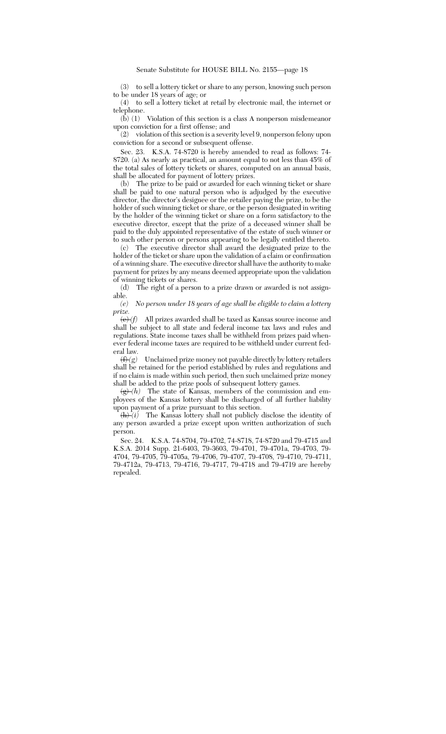(3) to sell a lottery ticket or share to any person, knowing such person to be under 18 years of age; or

(4) to sell a lottery ticket at retail by electronic mail, the internet or telephone.

(b) (1) Violation of this section is a class A nonperson misdemeanor upon conviction for a first offense; and

(2) violation of this section is a severity level 9, nonperson felony upon conviction for a second or subsequent offense.

Sec. 23. K.S.A. 74-8720 is hereby amended to read as follows: 74- 8720. (a) As nearly as practical, an amount equal to not less than 45% of the total sales of lottery tickets or shares, computed on an annual basis, shall be allocated for payment of lottery prizes.

(b) The prize to be paid or awarded for each winning ticket or share shall be paid to one natural person who is adjudged by the executive director, the director's designee or the retailer paying the prize, to be the holder of such winning ticket or share, or the person designated in writing by the holder of the winning ticket or share on a form satisfactory to the executive director, except that the prize of a deceased winner shall be paid to the duly appointed representative of the estate of such winner or to such other person or persons appearing to be legally entitled thereto.

(c) The executive director shall award the designated prize to the holder of the ticket or share upon the validation of a claim or confirmation of a winning share. The executive director shall have the authority to make payment for prizes by any means deemed appropriate upon the validation

of winning tickets or shares.<br>(d) The right of a perso The right of a person to a prize drawn or awarded is not assign-

able.<br> $(e)$ *No person under 18 years of age shall be eligible to claim a lottery prize.*

 $\langle e \rangle$  *(f)* All prizes awarded shall be taxed as Kansas source income and shall be subject to all state and federal income tax laws and rules and regulations. State income taxes shall be withheld from prizes paid whenever federal income taxes are required to be withheld under current federal law.<br> $\frac{\text{H}}{\text{H}}(g)$ 

Unclaimed prize money not payable directly by lottery retailers shall be retained for the period established by rules and regulations and if no claim is made within such period, then such unclaimed prize money shall be added to the prize pools of subsequent lottery games.

 $\frac{f(x)}{g}(h)$  The state of Kansas, members of the commission and employees of the Kansas lottery shall be discharged of all further liability upon payment of a prize pursuant to this section.

 $\overline{(h)}(i)$  The Kansas lottery shall not publicly disclose the identity of any person awarded a prize except upon written authorization of such person.

Sec. 24. K.S.A. 74-8704, 79-4702, 74-8718, 74-8720 and 79-4715 and K.S.A. 2014 Supp. 21-6403, 79-3603, 79-4701, 79-4701a, 79-4703, 79- 4704, 79-4705, 79-4705a, 79-4706, 79-4707, 79-4708, 79-4710, 79-4711, 79-4712a, 79-4713, 79-4716, 79-4717, 79-4718 and 79-4719 are hereby repealed.